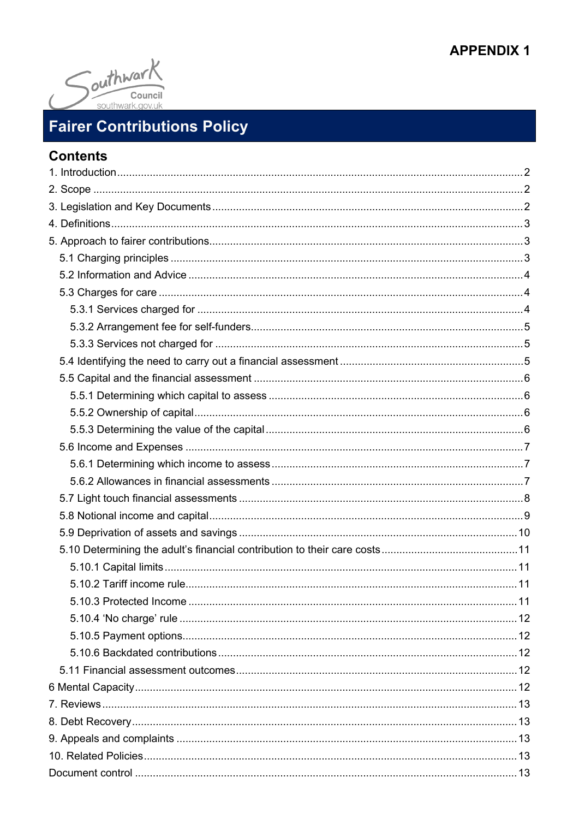## **APPENDIX 1**



# **Fairer Contributions Policy**

## **Contents**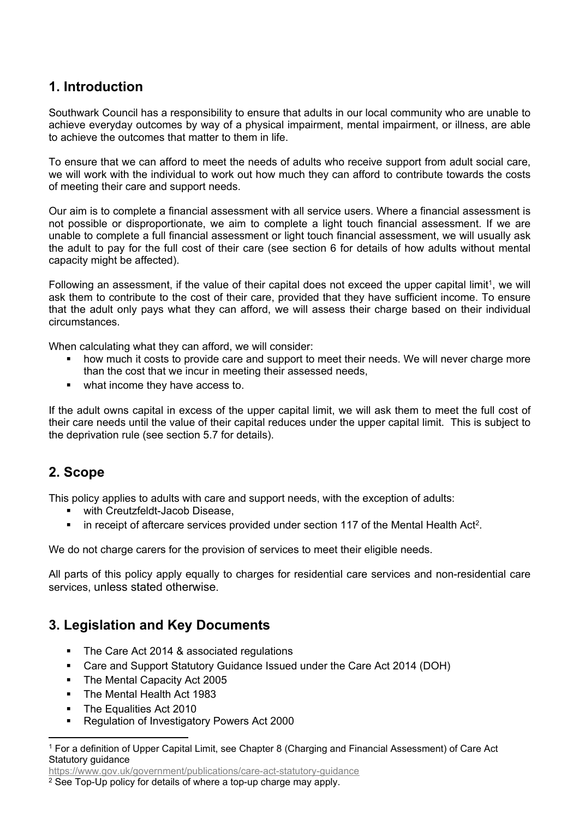## <span id="page-1-0"></span>**1. Introduction**

Southwark Council has a responsibility to ensure that adults in our local community who are unable to achieve everyday outcomes by way of a physical impairment, mental impairment, or illness, are able to achieve the outcomes that matter to them in life.

To ensure that we can afford to meet the needs of adults who receive support from adult social care, we will work with the individual to work out how much they can afford to contribute towards the costs of meeting their care and support needs.

Our aim is to complete a financial assessment with all service users. Where a financial assessment is not possible or disproportionate, we aim to complete a light touch financial assessment. If we are unable to complete a full financial assessment or light touch financial assessment, we will usually ask the adult to pay for the full cost of their care (see section 6 for details of how adults without mental capacity might be affected).

Following an assessment, if the value of their capital does not exceed the upper capital limit<sup>1</sup>, we will ask them to contribute to the cost of their care, provided that they have sufficient income. To ensure that the adult only pays what they can afford, we will assess their charge based on their individual circumstances.

When calculating what they can afford, we will consider:

- how much it costs to provide care and support to meet their needs. We will never charge more than the cost that we incur in meeting their assessed needs,
- what income they have access to.

If the adult owns capital in excess of the upper capital limit, we will ask them to meet the full cost of their care needs until the value of their capital reduces under the upper capital limit. This is subject to the deprivation rule (see section 5.7 for details).

## <span id="page-1-1"></span>**2. Scope**

This policy applies to adults with care and support needs, with the exception of adults:

- with Creutzfeldt-Jacob Disease,
- in receipt of aftercare services provided under section 117 of the Mental Health Act<sup>2</sup>.

We do not charge carers for the provision of services to meet their eligible needs.

All parts of this policy apply equally to charges for residential care services and non-residential care services, unless stated otherwise.

## <span id="page-1-2"></span>**3. Legislation and Key Documents**

- The Care Act 2014 & associated regulations
- Care and Support Statutory Guidance Issued under the Care Act 2014 (DOH)
- The Mental Capacity Act 2005
- The Mental Health Act 1983
- The Equalities Act 2010
- Regulation of Investigatory Powers Act 2000

<https://www.gov.uk/government/publications/care-act-statutory-guidance>

<sup>1</sup> For a definition of Upper Capital Limit, see Chapter 8 (Charging and Financial Assessment) of Care Act Statutory guidance

<sup>2</sup> See Top-Up policy for details of where a top-up charge may apply.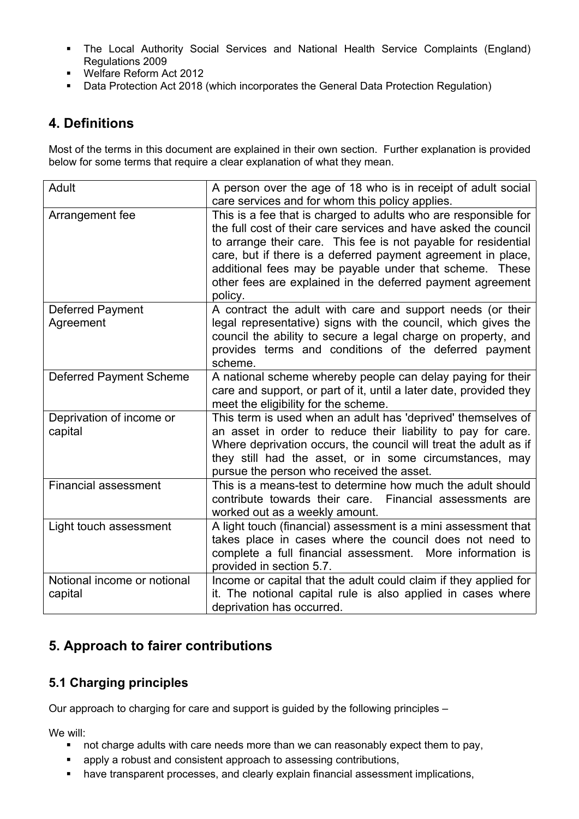- The Local Authority Social Services and National Health Service Complaints (England) Regulations 2009
- Welfare Reform Act 2012
- <span id="page-2-0"></span>Data Protection Act 2018 (which incorporates the General Data Protection Regulation)

## **4. Definitions**

Most of the terms in this document are explained in their own section. Further explanation is provided below for some terms that require a clear explanation of what they mean.

| Adult                                  | A person over the age of 18 who is in receipt of adult social<br>care services and for whom this policy applies.                                                                                                                                                                                                                                                                                         |  |  |
|----------------------------------------|----------------------------------------------------------------------------------------------------------------------------------------------------------------------------------------------------------------------------------------------------------------------------------------------------------------------------------------------------------------------------------------------------------|--|--|
| Arrangement fee                        | This is a fee that is charged to adults who are responsible for<br>the full cost of their care services and have asked the council<br>to arrange their care. This fee is not payable for residential<br>care, but if there is a deferred payment agreement in place,<br>additional fees may be payable under that scheme. These<br>other fees are explained in the deferred payment agreement<br>policy. |  |  |
| <b>Deferred Payment</b><br>Agreement   | A contract the adult with care and support needs (or their<br>legal representative) signs with the council, which gives the<br>council the ability to secure a legal charge on property, and<br>provides terms and conditions of the deferred payment<br>scheme.                                                                                                                                         |  |  |
| <b>Deferred Payment Scheme</b>         | A national scheme whereby people can delay paying for their<br>care and support, or part of it, until a later date, provided they<br>meet the eligibility for the scheme.                                                                                                                                                                                                                                |  |  |
| Deprivation of income or<br>capital    | This term is used when an adult has 'deprived' themselves of<br>an asset in order to reduce their liability to pay for care.<br>Where deprivation occurs, the council will treat the adult as if<br>they still had the asset, or in some circumstances, may<br>pursue the person who received the asset.                                                                                                 |  |  |
| <b>Financial assessment</b>            | This is a means-test to determine how much the adult should<br>contribute towards their care.<br>Financial assessments are<br>worked out as a weekly amount.                                                                                                                                                                                                                                             |  |  |
| Light touch assessment                 | A light touch (financial) assessment is a mini assessment that<br>takes place in cases where the council does not need to<br>complete a full financial assessment.<br>More information is<br>provided in section 5.7.                                                                                                                                                                                    |  |  |
| Notional income or notional<br>capital | Income or capital that the adult could claim if they applied for<br>it. The notional capital rule is also applied in cases where<br>deprivation has occurred.                                                                                                                                                                                                                                            |  |  |

## <span id="page-2-1"></span>**5. Approach to fairer contributions**

## <span id="page-2-2"></span>**5.1 Charging principles**

Our approach to charging for care and support is guided by the following principles –

We will:

- not charge adults with care needs more than we can reasonably expect them to pay,
- apply a robust and consistent approach to assessing contributions,
- have transparent processes, and clearly explain financial assessment implications,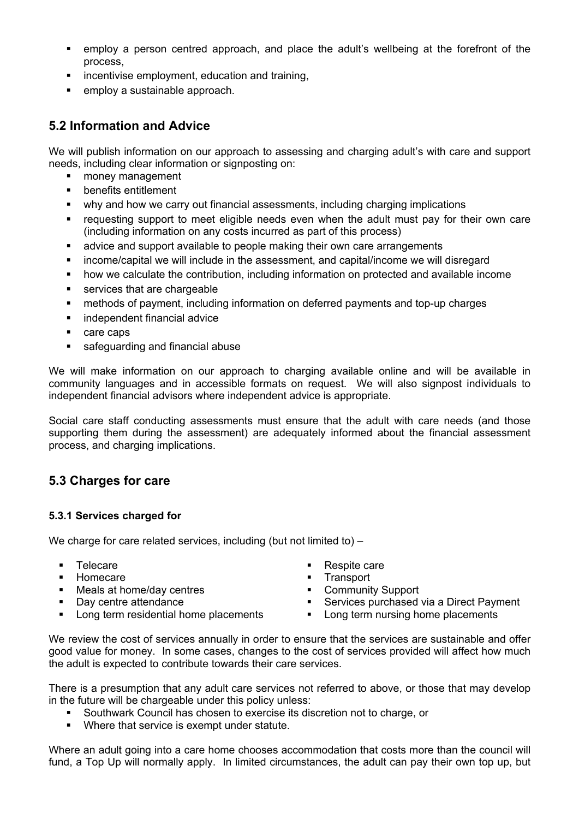- employ a person centred approach, and place the adult's wellbeing at the forefront of the process,
- incentivise employment, education and training,
- employ a sustainable approach.

## <span id="page-3-0"></span>**5.2 Information and Advice**

We will publish information on our approach to assessing and charging adult's with care and support needs, including clear information or signposting on:

- money management
- **•** benefits entitlement
- why and how we carry out financial assessments, including charging implications
- requesting support to meet eligible needs even when the adult must pay for their own care (including information on any costs incurred as part of this process)
- advice and support available to people making their own care arrangements
- income/capital we will include in the assessment, and capital/income we will disregard
- how we calculate the contribution, including information on protected and available income
- services that are chargeable
- methods of payment, including information on deferred payments and top-up charges
- independent financial advice
- care caps
- safeguarding and financial abuse

We will make information on our approach to charging available online and will be available in community languages and in accessible formats on request. We will also signpost individuals to independent financial advisors where independent advice is appropriate.

Social care staff conducting assessments must ensure that the adult with care needs (and those supporting them during the assessment) are adequately informed about the financial assessment process, and charging implications.

## <span id="page-3-1"></span>**5.3 Charges for care**

### <span id="page-3-2"></span>**5.3.1 Services charged for**

We charge for care related services, including (but not limited to) –

- 
- Homecare Transport
- Meals at home/day centres **Community Support**
- 
- 
- Telecare **Respite Care Respite care** 
	-
	-
- Day centre attendance Services purchased via a Direct Payment
	- Long term residential home placements **Long term nursing home placements**

We review the cost of services annually in order to ensure that the services are sustainable and offer good value for money. In some cases, changes to the cost of services provided will affect how much the adult is expected to contribute towards their care services.

There is a presumption that any adult care services not referred to above, or those that may develop in the future will be chargeable under this policy unless:

- Southwark Council has chosen to exercise its discretion not to charge, or
- **Where that service is exempt under statute.**

Where an adult going into a care home chooses accommodation that costs more than the council will fund, a Top Up will normally apply. In limited circumstances, the adult can pay their own top up, but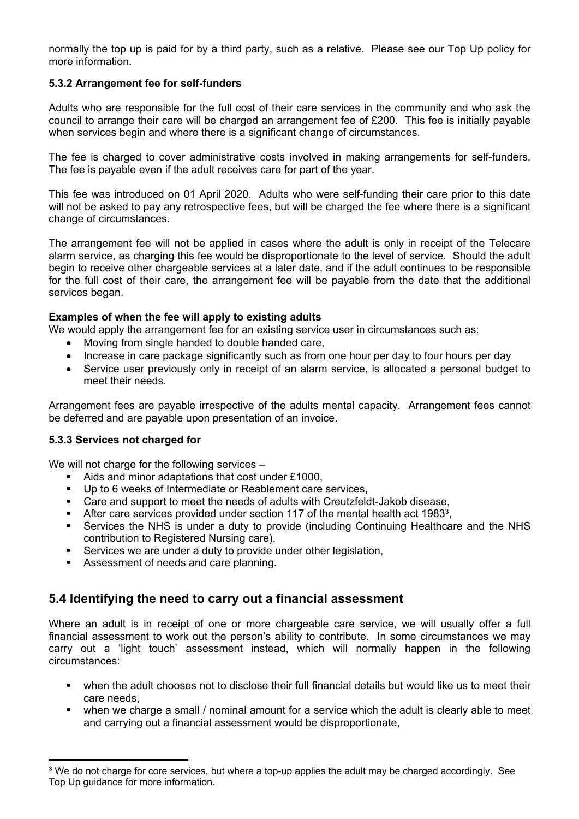normally the top up is paid for by a third party, such as a relative. Please see our Top Up policy for more information.

### <span id="page-4-0"></span>**5.3.2 Arrangement fee for self-funders**

Adults who are responsible for the full cost of their care services in the community and who ask the council to arrange their care will be charged an arrangement fee of £200. This fee is initially payable when services begin and where there is a significant change of circumstances.

The fee is charged to cover administrative costs involved in making arrangements for self-funders. The fee is payable even if the adult receives care for part of the year.

This fee was introduced on 01 April 2020. Adults who were self-funding their care prior to this date will not be asked to pay any retrospective fees, but will be charged the fee where there is a significant change of circumstances.

The arrangement fee will not be applied in cases where the adult is only in receipt of the Telecare alarm service, as charging this fee would be disproportionate to the level of service. Should the adult begin to receive other chargeable services at a later date, and if the adult continues to be responsible for the full cost of their care, the arrangement fee will be payable from the date that the additional services began.

### **Examples of when the fee will apply to existing adults**

We would apply the arrangement fee for an existing service user in circumstances such as:

- Moving from single handed to double handed care,
- Increase in care package significantly such as from one hour per day to four hours per day
- Service user previously only in receipt of an alarm service, is allocated a personal budget to meet their needs.

Arrangement fees are payable irrespective of the adults mental capacity. Arrangement fees cannot be deferred and are payable upon presentation of an invoice.

### <span id="page-4-1"></span>**5.3.3 Services not charged for**

We will not charge for the following services –

- Aids and minor adaptations that cost under £1000.
- Up to 6 weeks of Intermediate or Reablement care services,
- Care and support to meet the needs of adults with Creutzfeldt-Jakob disease,
- After care services provided under section 117 of the mental health act 1983<sup>3</sup>,
- Services the NHS is under a duty to provide (including Continuing Healthcare and the NHS contribution to Registered Nursing care),
- Services we are under a duty to provide under other legislation,
- Assessment of needs and care planning.

## <span id="page-4-2"></span>**5.4 Identifying the need to carry out a financial assessment**

Where an adult is in receipt of one or more chargeable care service, we will usually offer a full financial assessment to work out the person's ability to contribute. In some circumstances we may carry out a 'light touch' assessment instead, which will normally happen in the following circumstances:

- when the adult chooses not to disclose their full financial details but would like us to meet their care needs,
- when we charge a small *I* nominal amount for a service which the adult is clearly able to meet and carrying out a financial assessment would be disproportionate,

<sup>&</sup>lt;sup>3</sup> We do not charge for core services, but where a top-up applies the adult may be charged accordingly. See Top Up guidance for more information.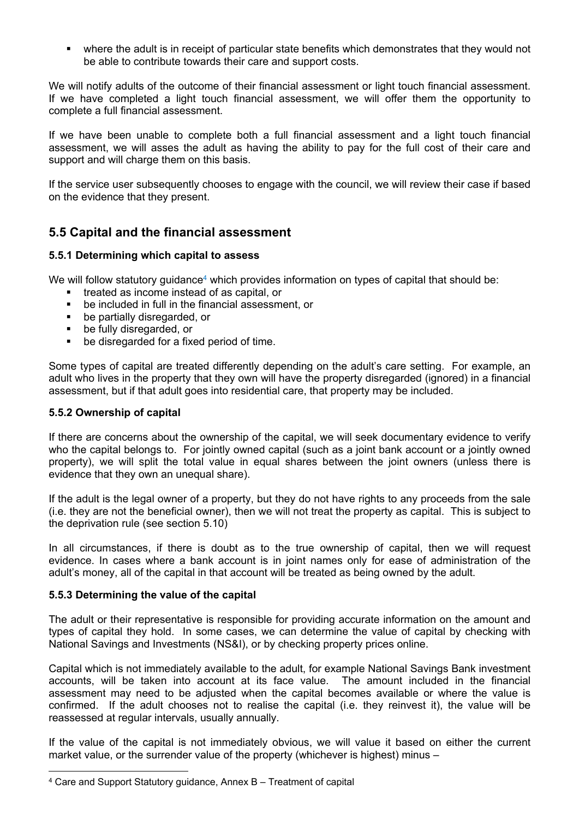where the adult is in receipt of particular state benefits which demonstrates that they would not be able to contribute towards their care and support costs.

We will notify adults of the outcome of their financial assessment or light touch financial assessment. If we have completed a light touch financial assessment, we will offer them the opportunity to complete a full financial assessment.

If we have been unable to complete both a full financial assessment and a light touch financial assessment, we will asses the adult as having the ability to pay for the full cost of their care and support and will charge them on this basis.

If the service user subsequently chooses to engage with the council, we will review their case if based on the evidence that they present.

## <span id="page-5-0"></span>**5.5 Capital and the financial assessment**

### <span id="page-5-1"></span>**5.5.1 Determining which capital to assess**

We will follow statutory guidance<sup>4</sup> which provides information on types of capital that should be:

- treated as income instead of as capital, or
- be included in full in the financial assessment, or
- be partially disregarded, or
- **•** be fully disregarded, or
- be disregarded for a fixed period of time.

Some types of capital are treated differently depending on the adult's care setting. For example, an adult who lives in the property that they own will have the property disregarded (ignored) in a financial assessment, but if that adult goes into residential care, that property may be included.

### <span id="page-5-2"></span>**5.5.2 Ownership of capital**

If there are concerns about the ownership of the capital, we will seek documentary evidence to verify who the capital belongs to. For jointly owned capital (such as a joint bank account or a jointly owned property), we will split the total value in equal shares between the joint owners (unless there is evidence that they own an unequal share).

If the adult is the legal owner of a property, but they do not have rights to any proceeds from the sale (i.e. they are not the beneficial owner), then we will not treat the property as capital. This is subject to the deprivation rule (see section 5.10)

In all circumstances, if there is doubt as to the true ownership of capital, then we will request evidence. In cases where a bank account is in joint names only for ease of administration of the adult's money, all of the capital in that account will be treated as being owned by the adult.

### <span id="page-5-3"></span>**5.5.3 Determining the value of the capital**

The adult or their representative is responsible for providing accurate information on the amount and types of capital they hold. In some cases, we can determine the value of capital by checking with National Savings and Investments (NS&I), or by checking property prices online.

Capital which is not immediately available to the adult, for example National Savings Bank investment accounts, will be taken into account at its face value. The amount included in the financial assessment may need to be adjusted when the capital becomes available or where the value is confirmed. If the adult chooses not to realise the capital (i.e. they reinvest it), the value will be reassessed at regular intervals, usually annually.

If the value of the capital is not immediately obvious, we will value it based on either the current market value, or the surrender value of the property (whichever is highest) minus –

<sup>4</sup> Care and Support Statutory guidance, Annex B – Treatment of capital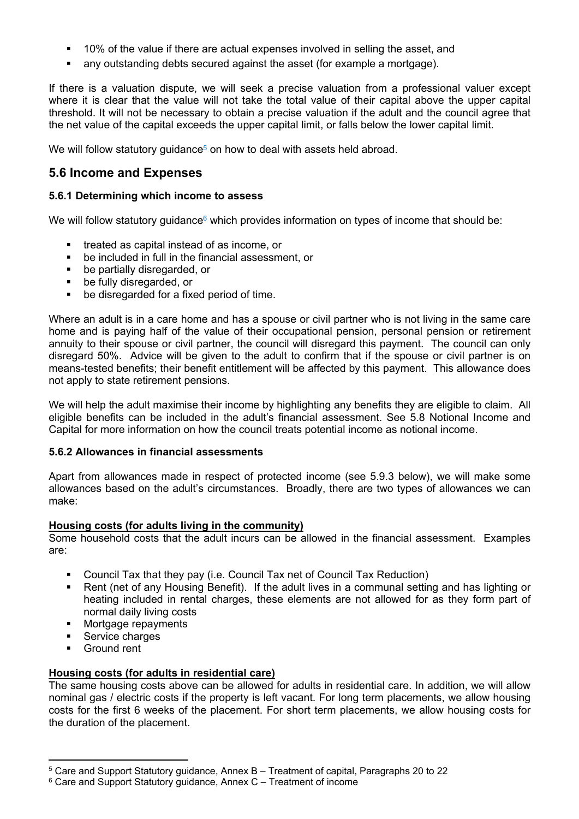- 10% of the value if there are actual expenses involved in selling the asset, and
- any outstanding debts secured against the asset (for example a mortgage).

If there is a valuation dispute, we will seek a precise valuation from a professional valuer except where it is clear that the value will not take the total value of their capital above the upper capital threshold. It will not be necessary to obtain a precise valuation if the adult and the council agree that the net value of the capital exceeds the upper capital limit, or falls below the lower capital limit.

We will follow statutory quidance<sup>5</sup> on how to deal with assets held abroad.

## <span id="page-6-0"></span>**5.6 Income and Expenses**

#### <span id="page-6-1"></span>**5.6.1 Determining which income to assess**

We will follow statutory guidance $6$  which provides information on types of income that should be:

- treated as capital instead of as income, or
- be included in full in the financial assessment, or
- be partially disregarded, or
- be fully disregarded, or
- be disregarded for a fixed period of time.

Where an adult is in a care home and has a spouse or civil partner who is not living in the same care home and is paying half of the value of their occupational pension, personal pension or retirement annuity to their spouse or civil partner, the council will disregard this payment. The council can only disregard 50%. Advice will be given to the adult to confirm that if the spouse or civil partner is on means-tested benefits; their benefit entitlement will be affected by this payment. This allowance does not apply to state retirement pensions.

We will help the adult maximise their income by highlighting any benefits they are eligible to claim. All eligible benefits can be included in the adult's financial assessment. See 5.8 Notional Income and Capital for more information on how the council treats potential income as notional income.

#### <span id="page-6-2"></span>**5.6.2 Allowances in financial assessments**

Apart from allowances made in respect of protected income (see 5.9.3 below), we will make some allowances based on the adult's circumstances. Broadly, there are two types of allowances we can make:

#### **Housing costs (for adults living in the community)**

Some household costs that the adult incurs can be allowed in the financial assessment. Examples are:

- Council Tax that they pay (i.e. Council Tax net of Council Tax Reduction)
- Rent (net of any Housing Benefit). If the adult lives in a communal setting and has lighting or heating included in rental charges, these elements are not allowed for as they form part of normal daily living costs
- **Mortgage repayments**
- Service charges
- Ground rent

### **Housing costs (for adults in residential care)**

The same housing costs above can be allowed for adults in residential care. In addition, we will allow nominal gas / electric costs if the property is left vacant. For long term placements, we allow housing costs for the first 6 weeks of the placement. For short term placements, we allow housing costs for the duration of the placement.

<sup>5</sup> Care and Support Statutory guidance, Annex B – Treatment of capital, Paragraphs 20 to 22

 $6$  Care and Support Statutory guidance, Annex C – Treatment of income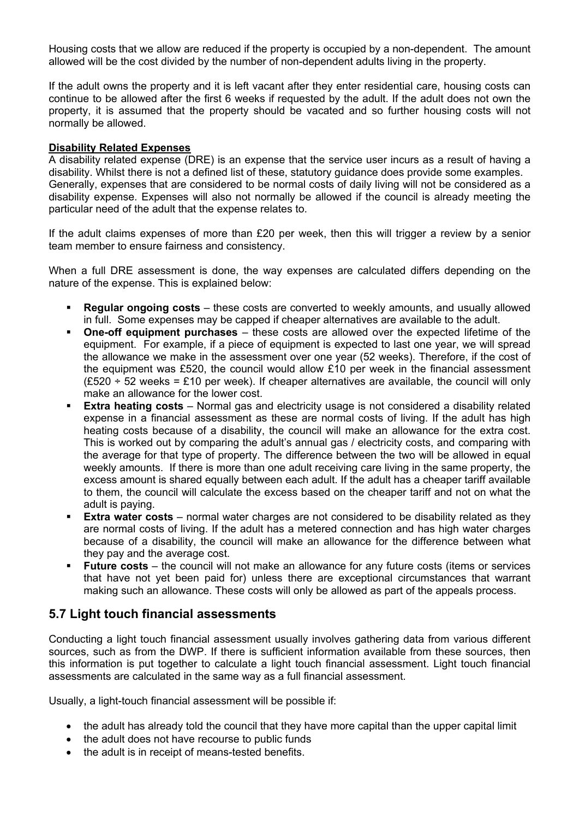Housing costs that we allow are reduced if the property is occupied by a non-dependent. The amount allowed will be the cost divided by the number of non-dependent adults living in the property.

If the adult owns the property and it is left vacant after they enter residential care, housing costs can continue to be allowed after the first 6 weeks if requested by the adult. If the adult does not own the property, it is assumed that the property should be vacated and so further housing costs will not normally be allowed.

#### **Disability Related Expenses**

A disability related expense (DRE) is an expense that the service user incurs as a result of having a disability. Whilst there is not a defined list of these, statutory guidance does provide some examples. Generally, expenses that are considered to be normal costs of daily living will not be considered as a disability expense. Expenses will also not normally be allowed if the council is already meeting the particular need of the adult that the expense relates to.

If the adult claims expenses of more than £20 per week, then this will trigger a review by a senior team member to ensure fairness and consistency.

When a full DRE assessment is done, the way expenses are calculated differs depending on the nature of the expense. This is explained below:

- **Regular ongoing costs** these costs are converted to weekly amounts, and usually allowed in full. Some expenses may be capped if cheaper alternatives are available to the adult.
- **One-off equipment purchases** these costs are allowed over the expected lifetime of the equipment. For example, if a piece of equipment is expected to last one year, we will spread the allowance we make in the assessment over one year (52 weeks). Therefore, if the cost of the equipment was £520, the council would allow  $£10$  per week in the financial assessment  $(E520 \div 52$  weeks = £10 per week). If cheaper alternatives are available, the council will only make an allowance for the lower cost.
- **Extra heating costs** Normal gas and electricity usage is not considered a disability related expense in a financial assessment as these are normal costs of living. If the adult has high heating costs because of a disability, the council will make an allowance for the extra cost. This is worked out by comparing the adult's annual gas / electricity costs, and comparing with the average for that type of property. The difference between the two will be allowed in equal weekly amounts. If there is more than one adult receiving care living in the same property, the excess amount is shared equally between each adult. If the adult has a cheaper tariff available to them, the council will calculate the excess based on the cheaper tariff and not on what the adult is paying.
- **Extra water costs** normal water charges are not considered to be disability related as they are normal costs of living. If the adult has a metered connection and has high water charges because of a disability, the council will make an allowance for the difference between what they pay and the average cost.
- **Future costs** the council will not make an allowance for any future costs (items or services that have not yet been paid for) unless there are exceptional circumstances that warrant making such an allowance. These costs will only be allowed as part of the appeals process.

## <span id="page-7-0"></span>**5.7 Light touch financial assessments**

Conducting a light touch financial assessment usually involves gathering data from various different sources, such as from the DWP. If there is sufficient information available from these sources, then this information is put together to calculate a light touch financial assessment. Light touch financial assessments are calculated in the same way as a full financial assessment.

Usually, a light-touch financial assessment will be possible if:

- the adult has already told the council that they have more capital than the upper capital limit
- the adult does not have recourse to public funds
- the adult is in receipt of means-tested benefits.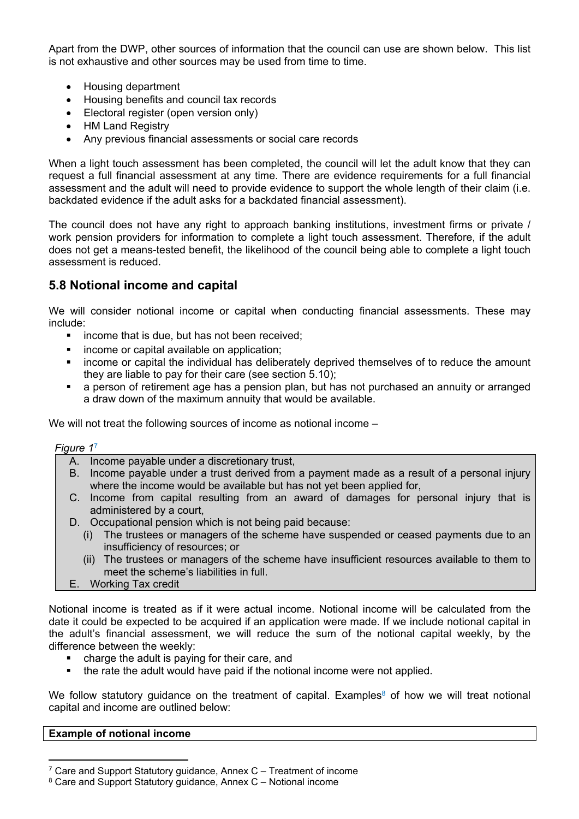Apart from the DWP, other sources of information that the council can use are shown below. This list is not exhaustive and other sources may be used from time to time.

- Housing department
- Housing benefits and council tax records
- Electoral register (open version only)
- HM Land Registry
- Any previous financial assessments or social care records

When a light touch assessment has been completed, the council will let the adult know that they can request a full financial assessment at any time. There are evidence requirements for a full financial assessment and the adult will need to provide evidence to support the whole length of their claim (i.e. backdated evidence if the adult asks for a backdated financial assessment).

The council does not have any right to approach banking institutions, investment firms or private / work pension providers for information to complete a light touch assessment. Therefore, if the adult does not get a means-tested benefit, the likelihood of the council being able to complete a light touch assessment is reduced.

## <span id="page-8-0"></span>**5.8 Notional income and capital**

We will consider notional income or capital when conducting financial assessments. These may include:

- **EXEC** income that is due, but has not been received;
- income or capital available on application;
- income or capital the individual has deliberately deprived themselves of to reduce the amount they are liable to pay for their care (see section 5.10);
- a person of retirement age has a pension plan, but has not purchased an annuity or arranged a draw down of the maximum annuity that would be available.

We will not treat the following sources of income as notional income –

*Figure 1* 7

- A. Income payable under a discretionary trust,
- B. Income payable under a trust derived from a payment made as a result of a personal injury where the income would be available but has not yet been applied for,
- C. Income from capital resulting from an award of damages for personal injury that is administered by a court,
- D. Occupational pension which is not being paid because:
	- (i) The trustees or managers of the scheme have suspended or ceased payments due to an insufficiency of resources; or
	- (ii) The trustees or managers of the scheme have insufficient resources available to them to meet the scheme's liabilities in full.
- E. Working Tax credit

Notional income is treated as if it were actual income. Notional income will be calculated from the date it could be expected to be acquired if an application were made. If we include notional capital in the adult's financial assessment, we will reduce the sum of the notional capital weekly, by the difference between the weekly:

- charge the adult is paying for their care, and
- the rate the adult would have paid if the notional income were not applied.

We follow statutory guidance on the treatment of capital. Examples<sup>8</sup> of how we will treat notional capital and income are outlined below:

### **Example of notional income**

<sup>7</sup> Care and Support Statutory guidance, Annex C – Treatment of income

<sup>8</sup> Care and Support Statutory guidance, Annex C – Notional income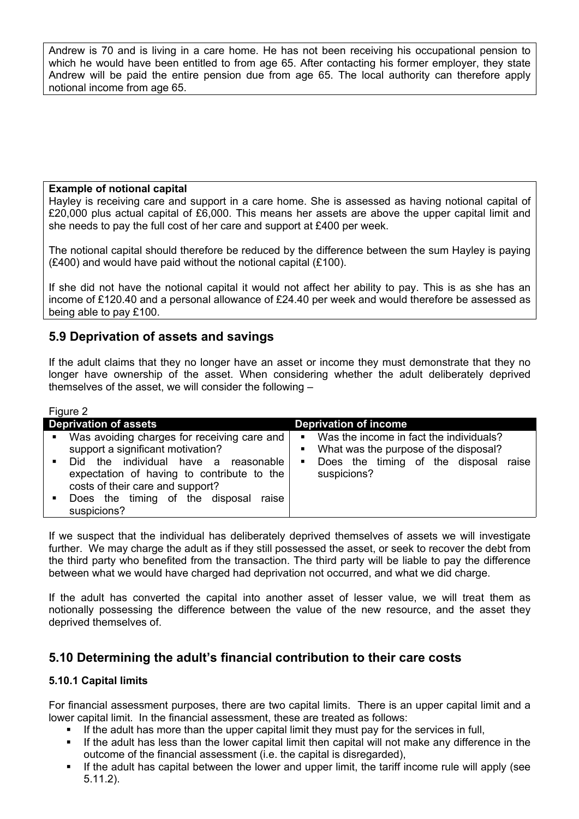Andrew is 70 and is living in a care home. He has not been receiving his occupational pension to which he would have been entitled to from age 65. After contacting his former employer, they state Andrew will be paid the entire pension due from age 65. The local authority can therefore apply notional income from age 65.

### **Example of notional capital**

Hayley is receiving care and support in a care home. She is assessed as having notional capital of £20,000 plus actual capital of £6,000. This means her assets are above the upper capital limit and she needs to pay the full cost of her care and support at £400 per week.

The notional capital should therefore be reduced by the difference between the sum Hayley is paying (£400) and would have paid without the notional capital (£100).

If she did not have the notional capital it would not affect her ability to pay. This is as she has an income of £120.40 and a personal allowance of £24.40 per week and would therefore be assessed as being able to pay £100.

## <span id="page-9-0"></span>**5.9 Deprivation of assets and savings**

If the adult claims that they no longer have an asset or income they must demonstrate that they no longer have ownership of the asset. When considering whether the adult deliberately deprived themselves of the asset, we will consider the following –

| <b>Figure 2</b>                  |                                                                                                                                                                                                                                                                    |                                                                                                                                                            |  |  |  |  |
|----------------------------------|--------------------------------------------------------------------------------------------------------------------------------------------------------------------------------------------------------------------------------------------------------------------|------------------------------------------------------------------------------------------------------------------------------------------------------------|--|--|--|--|
| <b>Deprivation of assets</b>     |                                                                                                                                                                                                                                                                    | <b>Deprivation of income</b>                                                                                                                               |  |  |  |  |
| $\mathbf{u}$ .<br>$\blacksquare$ | Was avoiding charges for receiving care and<br>support a significant motivation?<br>Did the individual have a reasonable<br>expectation of having to contribute to the<br>costs of their care and support?<br>Does the timing of the disposal raise<br>suspicions? | Was the income in fact the individuals?<br>$\blacksquare$<br>What was the purpose of the disposal?<br>Does the timing of the disposal raise<br>suspicions? |  |  |  |  |

If we suspect that the individual has deliberately deprived themselves of assets we will investigate further. We may charge the adult as if they still possessed the asset, or seek to recover the debt from the third party who benefited from the transaction. The third party will be liable to pay the difference between what we would have charged had deprivation not occurred, and what we did charge.

If the adult has converted the capital into another asset of lesser value, we will treat them as notionally possessing the difference between the value of the new resource, and the asset they deprived themselves of.

## <span id="page-9-1"></span>**5.10 Determining the adult's financial contribution to their care costs**

## <span id="page-9-2"></span>**5.10.1 Capital limits**

 $F<sub>1</sub>$ 

For financial assessment purposes, there are two capital limits. There is an upper capital limit and a lower capital limit. In the financial assessment, these are treated as follows:

- If the adult has more than the upper capital limit they must pay for the services in full,
- If the adult has less than the lower capital limit then capital will not make any difference in the outcome of the financial assessment (i.e. the capital is disregarded),
- If the adult has capital between the lower and upper limit, the tariff income rule will apply (see 5.11.2).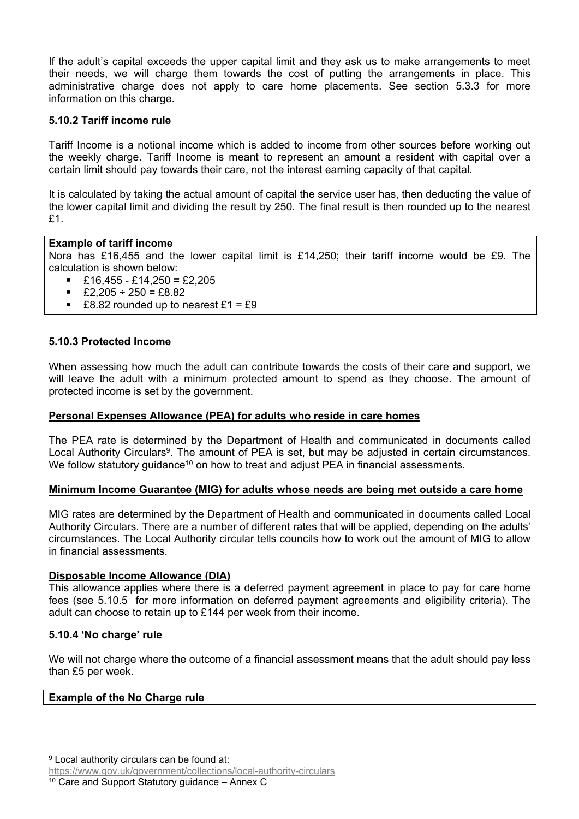If the adult's capital exceeds the upper capital limit and they ask us to make arrangements to meet their needs, we will charge them towards the cost of putting the arrangements in place. This administrative charge does not apply to care home placements. See section 5.3.3 for more information on this charge.

### <span id="page-10-0"></span>**5.10.2 Tariff income rule**

Tariff Income is a notional income which is added to income from other sources before working out the weekly charge. Tariff Income is meant to represent an amount a resident with capital over a certain limit should pay towards their care, not the interest earning capacity of that capital.

It is calculated by taking the actual amount of capital the service user has, then deducting the value of the lower capital limit and dividing the result by 250. The final result is then rounded up to the nearest £1.

### **Example of tariff income**

Nora has £16,455 and the lower capital limit is £14,250; their tariff income would be £9. The calculation is shown below:

- $£16,455 £14,250 = £2,205$
- $\text{£}2.205 \div 250 = \text{£}8.82$
- £8.82 rounded up to nearest  $£1 = £9$

### <span id="page-10-1"></span>**5.10.3 Protected Income**

When assessing how much the adult can contribute towards the costs of their care and support, we will leave the adult with a minimum protected amount to spend as they choose. The amount of protected income is set by the government.

### **Personal Expenses Allowance (PEA) for adults who reside in care homes**

The PEA rate is determined by the Department of Health and communicated in documents called Local Authority Circulars<sup>9</sup>. The amount of PEA is set, but may be adjusted in certain circumstances. We follow statutory guidance<sup>10</sup> on how to treat and adjust PEA in financial assessments.

### **Minimum Income Guarantee (MIG) for adults whose needs are being met outside a care home**

MIG rates are determined by the Department of Health and communicated in documents called Local Authority Circulars. There are a number of different rates that will be applied, depending on the adults' circumstances. The Local Authority circular tells councils how to work out the amount of MIG to allow in financial assessments.

### **Disposable Income Allowance (DIA)**

This allowance applies where there is a deferred payment agreement in place to pay for care home fees (see 5.10.5 for more information on deferred payment agreements and eligibility criteria). The adult can choose to retain up to £144 per week from their income.

### <span id="page-10-2"></span>**5.10.4 'No charge' rule**

We will not charge where the outcome of a financial assessment means that the adult should pay less than £5 per week.

### **Example of the No Charge rule**

<https://www.gov.uk/government/collections/local-authority-circulars>

<sup>10</sup> Care and Support Statutory guidance – Annex C

<sup>&</sup>lt;sup>9</sup> Local authority circulars can be found at: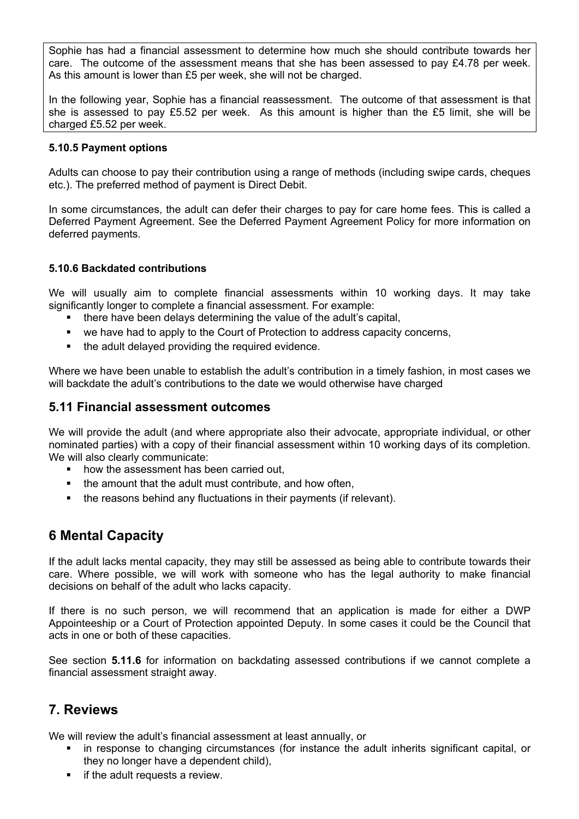Sophie has had a financial assessment to determine how much she should contribute towards her care. The outcome of the assessment means that she has been assessed to pay £4.78 per week. As this amount is lower than £5 per week, she will not be charged.

In the following year, Sophie has a financial reassessment. The outcome of that assessment is that she is assessed to pay £5.52 per week. As this amount is higher than the £5 limit, she will be charged £5.52 per week.

### <span id="page-11-0"></span>**5.10.5 Payment options**

Adults can choose to pay their contribution using a range of methods (including swipe cards, cheques etc.). The preferred method of payment is Direct Debit.

In some circumstances, the adult can defer their charges to pay for care home fees. This is called a Deferred Payment Agreement. See the Deferred Payment Agreement Policy for more information on deferred payments.

## <span id="page-11-1"></span>**5.10.6 Backdated contributions**

We will usually aim to complete financial assessments within 10 working days. It may take significantly longer to complete a financial assessment. For example:

- there have been delays determining the value of the adult's capital,
- we have had to apply to the Court of Protection to address capacity concerns,
- the adult delayed providing the required evidence.

Where we have been unable to establish the adult's contribution in a timely fashion, in most cases we will backdate the adult's contributions to the date we would otherwise have charged

## <span id="page-11-2"></span>**5.11 Financial assessment outcomes**

We will provide the adult (and where appropriate also their advocate, appropriate individual, or other nominated parties) with a copy of their financial assessment within 10 working days of its completion. We will also clearly communicate:

- how the assessment has been carried out,
- the amount that the adult must contribute, and how often,
- <span id="page-11-3"></span>• the reasons behind any fluctuations in their payments (if relevant).

## **6 Mental Capacity**

If the adult lacks mental capacity, they may still be assessed as being able to contribute towards their care. Where possible, we will work with someone who has the legal authority to make financial decisions on behalf of the adult who lacks capacity.

If there is no such person, we will recommend that an application is made for either a DWP Appointeeship or a Court of Protection appointed Deputy. In some cases it could be the Council that acts in one or both of these capacities.

See section **5.11.6** for information on backdating assessed contributions if we cannot complete a financial assessment straight away.

## <span id="page-11-4"></span>**7. Reviews**

We will review the adult's financial assessment at least annually, or

- in response to changing circumstances (for instance the adult inherits significant capital, or they no longer have a dependent child),
- if the adult requests a review.